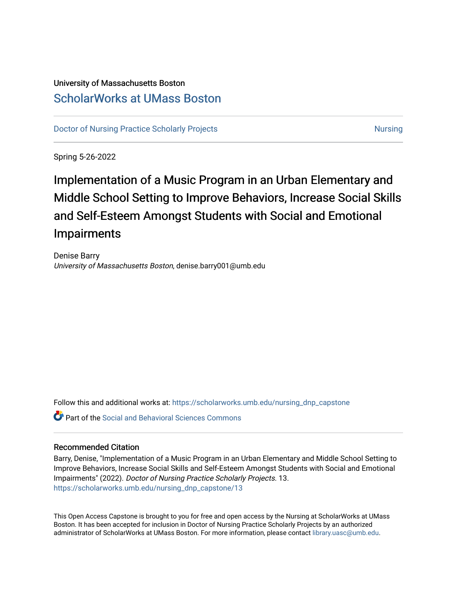## University of Massachusetts Boston [ScholarWorks at UMass Boston](https://scholarworks.umb.edu/)

[Doctor of Nursing Practice Scholarly Projects](https://scholarworks.umb.edu/nursing_dnp_capstone) [Nursing](https://scholarworks.umb.edu/nursing) Nursing Nursing

Spring 5-26-2022

Implementation of a Music Program in an Urban Elementary and Middle School Setting to Improve Behaviors, Increase Social Skills and Self-Esteem Amongst Students with Social and Emotional Impairments

Denise Barry University of Massachusetts Boston, denise.barry001@umb.edu

Follow this and additional works at: [https://scholarworks.umb.edu/nursing\\_dnp\\_capstone](https://scholarworks.umb.edu/nursing_dnp_capstone?utm_source=scholarworks.umb.edu%2Fnursing_dnp_capstone%2F13&utm_medium=PDF&utm_campaign=PDFCoverPages) 

Part of the [Social and Behavioral Sciences Commons](https://network.bepress.com/hgg/discipline/316?utm_source=scholarworks.umb.edu%2Fnursing_dnp_capstone%2F13&utm_medium=PDF&utm_campaign=PDFCoverPages) 

#### Recommended Citation

Barry, Denise, "Implementation of a Music Program in an Urban Elementary and Middle School Setting to Improve Behaviors, Increase Social Skills and Self-Esteem Amongst Students with Social and Emotional Impairments" (2022). Doctor of Nursing Practice Scholarly Projects. 13. [https://scholarworks.umb.edu/nursing\\_dnp\\_capstone/13](https://scholarworks.umb.edu/nursing_dnp_capstone/13?utm_source=scholarworks.umb.edu%2Fnursing_dnp_capstone%2F13&utm_medium=PDF&utm_campaign=PDFCoverPages)

This Open Access Capstone is brought to you for free and open access by the Nursing at ScholarWorks at UMass Boston. It has been accepted for inclusion in Doctor of Nursing Practice Scholarly Projects by an authorized administrator of ScholarWorks at UMass Boston. For more information, please contact [library.uasc@umb.edu.](mailto:library.uasc@umb.edu)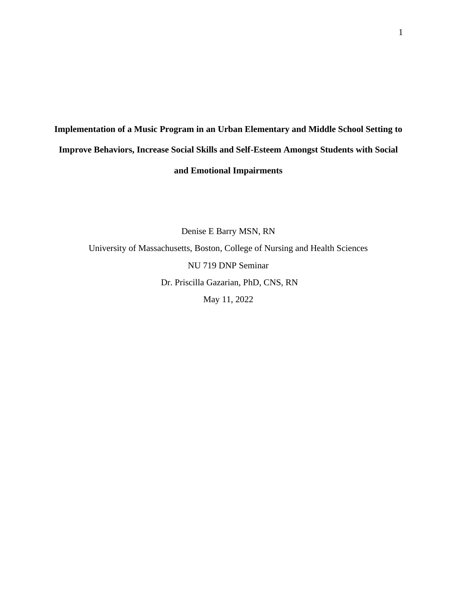# **Implementation of a Music Program in an Urban Elementary and Middle School Setting to Improve Behaviors, Increase Social Skills and Self-Esteem Amongst Students with Social and Emotional Impairments**

Denise E Barry MSN, RN University of Massachusetts, Boston, College of Nursing and Health Sciences NU 719 DNP Seminar Dr. Priscilla Gazarian, PhD, CNS, RN May 11, 2022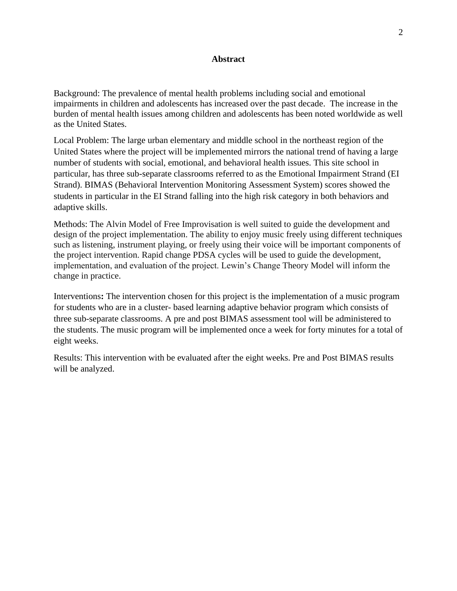## **Abstract**

Background: The prevalence of mental health problems including social and emotional impairments in children and adolescents has increased over the past decade. The increase in the burden of mental health issues among children and adolescents has been noted worldwide as well as the United States.

Local Problem: The large urban elementary and middle school in the northeast region of the United States where the project will be implemented mirrors the national trend of having a large number of students with social, emotional, and behavioral health issues. This site school in particular, has three sub-separate classrooms referred to as the Emotional Impairment Strand (EI Strand). BIMAS (Behavioral Intervention Monitoring Assessment System) scores showed the students in particular in the EI Strand falling into the high risk category in both behaviors and adaptive skills.

Methods: The Alvin Model of Free Improvisation is well suited to guide the development and design of the project implementation. The ability to enjoy music freely using different techniques such as listening, instrument playing, or freely using their voice will be important components of the project intervention. Rapid change PDSA cycles will be used to guide the development, implementation, and evaluation of the project. Lewin's Change Theory Model will inform the change in practice.

Interventions**:** The intervention chosen for this project is the implementation of a music program for students who are in a cluster- based learning adaptive behavior program which consists of three sub-separate classrooms. A pre and post BIMAS assessment tool will be administered to the students. The music program will be implemented once a week for forty minutes for a total of eight weeks.

Results: This intervention with be evaluated after the eight weeks. Pre and Post BIMAS results will be analyzed.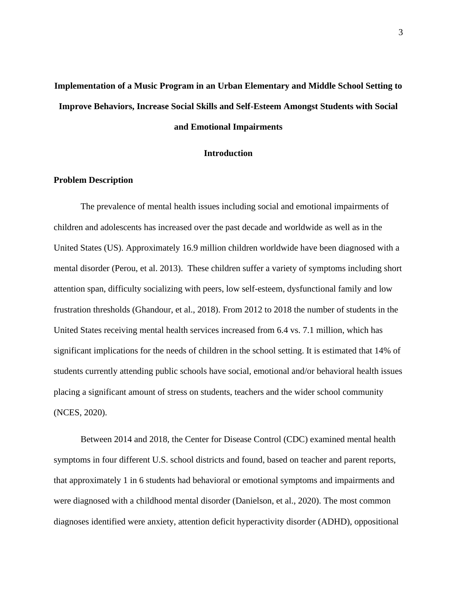# **Implementation of a Music Program in an Urban Elementary and Middle School Setting to Improve Behaviors, Increase Social Skills and Self-Esteem Amongst Students with Social and Emotional Impairments**

#### **Introduction**

## **Problem Description**

The prevalence of mental health issues including social and emotional impairments of children and adolescents has increased over the past decade and worldwide as well as in the United States (US). Approximately 16.9 million children worldwide have been diagnosed with a mental disorder (Perou, et al. 2013). These children suffer a variety of symptoms including short attention span, difficulty socializing with peers, low self-esteem, dysfunctional family and low frustration thresholds (Ghandour, et al., 2018). From 2012 to 2018 the number of students in the United States receiving mental health services increased from 6.4 vs. 7.1 million, which has significant implications for the needs of children in the school setting. It is estimated that 14% of students currently attending public schools have social, emotional and/or behavioral health issues placing a significant amount of stress on students, teachers and the wider school community (NCES, 2020).

Between 2014 and 2018, the Center for Disease Control (CDC) examined mental health symptoms in four different U.S. school districts and found, based on teacher and parent reports, that approximately 1 in 6 students had [behavioral or emotional](https://www.cdc.gov/childrensmentalhealth/symptoms.html) symptoms and impairments and were diagnosed with a childhood mental disorder (Danielson, et al., 2020). The most common diagnoses identified were anxiety, attention deficit hyperactivity disorder (ADHD), oppositional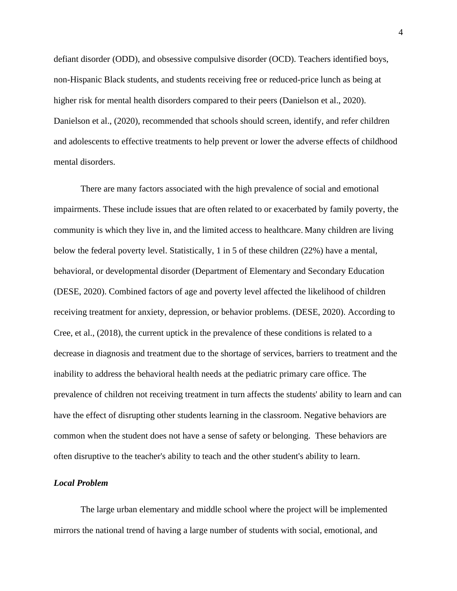defiant disorder (ODD), and obsessive compulsive disorder (OCD). Teachers identified boys, non-Hispanic Black students, and students receiving free or reduced-price lunch as being at higher risk for mental health disorders compared to their peers (Danielson et al., 2020). Danielson et al., (2020), recommended that schools should screen, identify, and refer children and adolescents to effective treatments to help prevent or lower the adverse effects of childhood mental disorders.

There are many factors associated with the high prevalence of social and emotional impairments. These include issues that are often related to or exacerbated by family poverty, the community is which they live in, and the limited access to healthcare. Many children are living below the federal poverty level. Statistically, 1 in 5 of these children (22%) have a mental, behavioral, or developmental disorder (Department of Elementary and Secondary Education (DESE, 2020). Combined factors of age and poverty level affected the likelihood of children receiving treatment for anxiety, depression, or behavior problems. (DESE, 2020). According to Cree, et al., (2018), the current uptick in the prevalence of these conditions is related to a decrease in diagnosis and treatment due to the shortage of services, barriers to treatment and the inability to address the behavioral health needs at the pediatric primary care office. The prevalence of children not receiving treatment in turn affects the students' ability to learn and can have the effect of disrupting other students learning in the classroom. Negative behaviors are common when the student does not have a sense of safety or belonging. These behaviors are often disruptive to the teacher's ability to teach and the other student's ability to learn.

## *Local Problem*

The large urban elementary and middle school where the project will be implemented mirrors the national trend of having a large number of students with social, emotional, and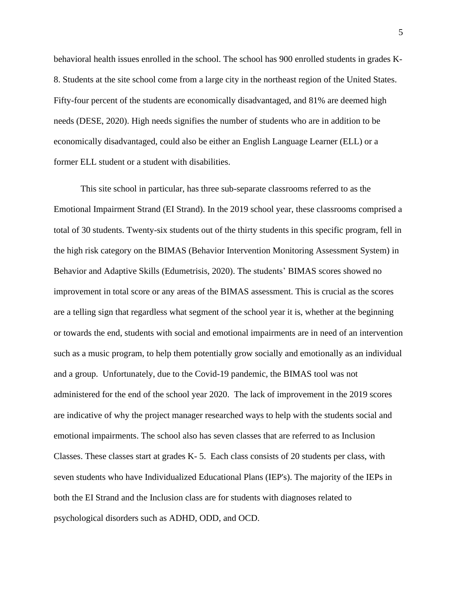behavioral health issues enrolled in the school. The school has 900 enrolled students in grades K-8. Students at the site school come from a large city in the northeast region of the United States. Fifty-four percent of the students are economically disadvantaged, and 81% are deemed high needs (DESE, 2020). High needs signifies the number of students who are in addition to be economically disadvantaged, could also be either an English Language Learner (ELL) or a former ELL student or a student with disabilities.

This site school in particular, has three sub-separate classrooms referred to as the Emotional Impairment Strand (EI Strand). In the 2019 school year, these classrooms comprised a total of 30 students. Twenty-six students out of the thirty students in this specific program, fell in the high risk category on the BIMAS (Behavior Intervention Monitoring Assessment System) in Behavior and Adaptive Skills (Edumetrisis, 2020). The students' BIMAS scores showed no improvement in total score or any areas of the BIMAS assessment. This is crucial as the scores are a telling sign that regardless what segment of the school year it is, whether at the beginning or towards the end, students with social and emotional impairments are in need of an intervention such as a music program, to help them potentially grow socially and emotionally as an individual and a group. Unfortunately, due to the Covid-19 pandemic, the BIMAS tool was not administered for the end of the school year 2020. The lack of improvement in the 2019 scores are indicative of why the project manager researched ways to help with the students social and emotional impairments. The school also has seven classes that are referred to as Inclusion Classes. These classes start at grades K- 5. Each class consists of 20 students per class, with seven students who have Individualized Educational Plans (IEP's). The majority of the IEPs in both the EI Strand and the Inclusion class are for students with diagnoses related to psychological disorders such as ADHD, ODD, and OCD.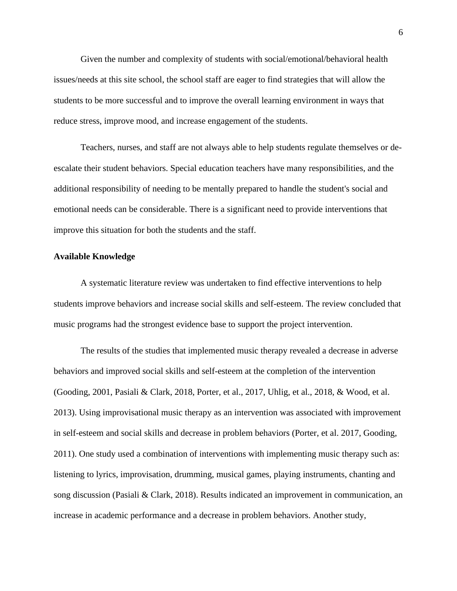Given the number and complexity of students with social/emotional/behavioral health issues/needs at this site school, the school staff are eager to find strategies that will allow the students to be more successful and to improve the overall learning environment in ways that reduce stress, improve mood, and increase engagement of the students.

Teachers, nurses, and staff are not always able to help students regulate themselves or deescalate their student behaviors. Special education teachers have many responsibilities, and the additional responsibility of needing to be mentally prepared to handle the student's social and emotional needs can be considerable. There is a significant need to provide interventions that improve this situation for both the students and the staff.

#### **Available Knowledge**

A systematic literature review was undertaken to find effective interventions to help students improve behaviors and increase social skills and self-esteem. The review concluded that music programs had the strongest evidence base to support the project intervention.

The results of the studies that implemented music therapy revealed a decrease in adverse behaviors and improved social skills and self-esteem at the completion of the intervention (Gooding, 2001, Pasiali & Clark, 2018, Porter, et al., 2017, Uhlig, et al., 2018, & Wood, et al. 2013). Using improvisational music therapy as an intervention was associated with improvement in self-esteem and social skills and decrease in problem behaviors (Porter, et al. 2017, Gooding, 2011). One study used a combination of interventions with implementing music therapy such as: listening to lyrics, improvisation, drumming, musical games, playing instruments, chanting and song discussion (Pasiali & Clark, 2018). Results indicated an improvement in communication, an increase in academic performance and a decrease in problem behaviors. Another study,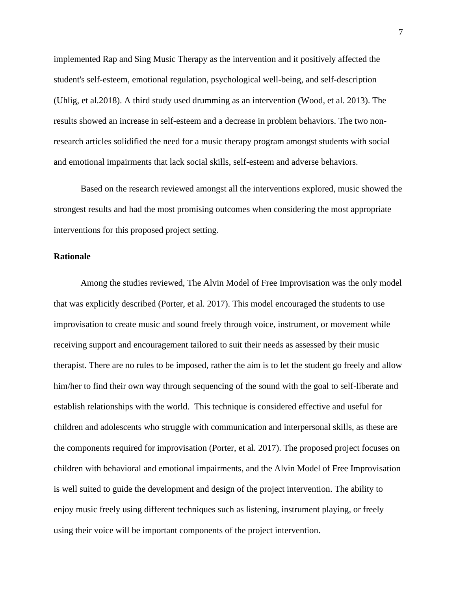implemented Rap and Sing Music Therapy as the intervention and it positively affected the student's self-esteem, emotional regulation, psychological well-being, and self-description (Uhlig, et al.2018). A third study used drumming as an intervention (Wood, et al. 2013). The results showed an increase in self-esteem and a decrease in problem behaviors. The two nonresearch articles solidified the need for a music therapy program amongst students with social and emotional impairments that lack social skills, self-esteem and adverse behaviors.

Based on the research reviewed amongst all the interventions explored, music showed the strongest results and had the most promising outcomes when considering the most appropriate interventions for this proposed project setting.

### **Rationale**

Among the studies reviewed, The Alvin Model of Free Improvisation was the only model that was explicitly described (Porter, et al. 2017). This model encouraged the students to use improvisation to create music and sound freely through voice, instrument, or movement while receiving support and encouragement tailored to suit their needs as assessed by their music therapist. There are no rules to be imposed, rather the aim is to let the student go freely and allow him/her to find their own way through sequencing of the sound with the goal to self-liberate and establish relationships with the world. This technique is considered effective and useful for children and adolescents who struggle with communication and interpersonal skills, as these are the components required for improvisation (Porter, et al. 2017). The proposed project focuses on children with behavioral and emotional impairments, and the Alvin Model of Free Improvisation is well suited to guide the development and design of the project intervention. The ability to enjoy music freely using different techniques such as listening, instrument playing, or freely using their voice will be important components of the project intervention.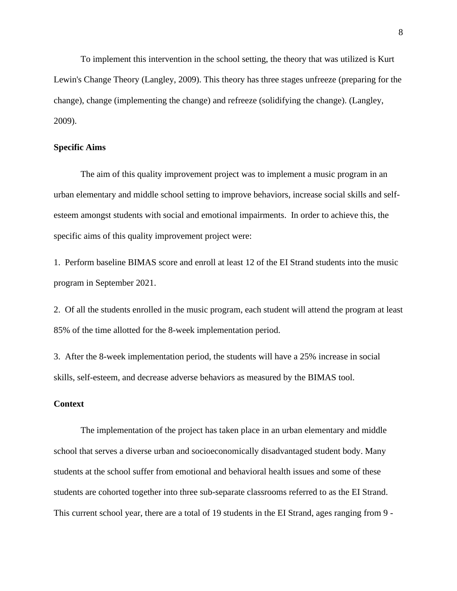To implement this intervention in the school setting, the theory that was utilized is Kurt Lewin's Change Theory (Langley, 2009). This theory has three stages unfreeze (preparing for the change), change (implementing the change) and refreeze (solidifying the change). (Langley, 2009).

## **Specific Aims**

The aim of this quality improvement project was to implement a music program in an urban elementary and middle school setting to improve behaviors, increase social skills and selfesteem amongst students with social and emotional impairments. In order to achieve this, the specific aims of this quality improvement project were:

1. Perform baseline BIMAS score and enroll at least 12 of the EI Strand students into the music program in September 2021.

2. Of all the students enrolled in the music program, each student will attend the program at least 85% of the time allotted for the 8-week implementation period.

3. After the 8-week implementation period, the students will have a 25% increase in social skills, self-esteem, and decrease adverse behaviors as measured by the BIMAS tool.

## **Context**

The implementation of the project has taken place in an urban elementary and middle school that serves a diverse urban and socioeconomically disadvantaged student body. Many students at the school suffer from emotional and behavioral health issues and some of these students are cohorted together into three sub-separate classrooms referred to as the EI Strand. This current school year, there are a total of 19 students in the EI Strand, ages ranging from 9 -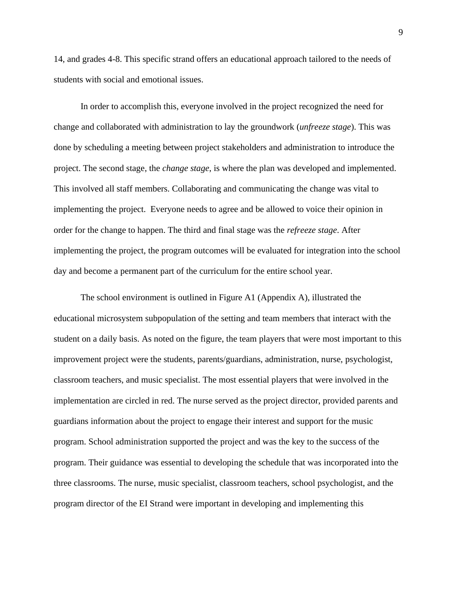14, and grades 4-8. This specific strand offers an educational approach tailored to the needs of students with social and emotional issues.

In order to accomplish this, everyone involved in the project recognized the need for change and collaborated with administration to lay the groundwork (*unfreeze stage*). This was done by scheduling a meeting between project stakeholders and administration to introduce the project. The second stage, the *change stage*, is where the plan was developed and implemented. This involved all staff members. Collaborating and communicating the change was vital to implementing the project. Everyone needs to agree and be allowed to voice their opinion in order for the change to happen. The third and final stage was the *refreeze stage*. After implementing the project, the program outcomes will be evaluated for integration into the school day and become a permanent part of the curriculum for the entire school year.

The school environment is outlined in Figure A1 (Appendix A), illustrated the educational microsystem subpopulation of the setting and team members that interact with the student on a daily basis. As noted on the figure, the team players that were most important to this improvement project were the students, parents/guardians, administration, nurse, psychologist, classroom teachers, and music specialist. The most essential players that were involved in the implementation are circled in red. The nurse served as the project director, provided parents and guardians information about the project to engage their interest and support for the music program. School administration supported the project and was the key to the success of the program. Their guidance was essential to developing the schedule that was incorporated into the three classrooms. The nurse, music specialist, classroom teachers, school psychologist, and the program director of the EI Strand were important in developing and implementing this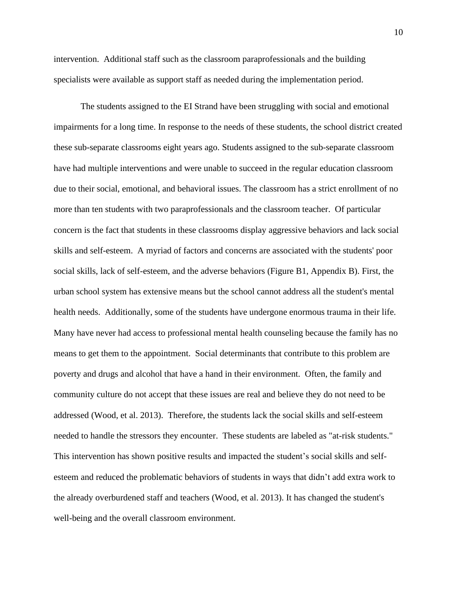intervention. Additional staff such as the classroom paraprofessionals and the building specialists were available as support staff as needed during the implementation period.

The students assigned to the EI Strand have been struggling with social and emotional impairments for a long time. In response to the needs of these students, the school district created these sub-separate classrooms eight years ago. Students assigned to the sub-separate classroom have had multiple interventions and were unable to succeed in the regular education classroom due to their social, emotional, and behavioral issues. The classroom has a strict enrollment of no more than ten students with two paraprofessionals and the classroom teacher. Of particular concern is the fact that students in these classrooms display aggressive behaviors and lack social skills and self-esteem. A myriad of factors and concerns are associated with the students' poor social skills, lack of self-esteem, and the adverse behaviors (Figure B1, Appendix B). First, the urban school system has extensive means but the school cannot address all the student's mental health needs. Additionally, some of the students have undergone enormous trauma in their life. Many have never had access to professional mental health counseling because the family has no means to get them to the appointment. Social determinants that contribute to this problem are poverty and drugs and alcohol that have a hand in their environment. Often, the family and community culture do not accept that these issues are real and believe they do not need to be addressed (Wood, et al. 2013). Therefore, the students lack the social skills and self-esteem needed to handle the stressors they encounter. These students are labeled as "at-risk students." This intervention has shown positive results and impacted the student's social skills and selfesteem and reduced the problematic behaviors of students in ways that didn't add extra work to the already overburdened staff and teachers (Wood, et al. 2013). It has changed the student's well-being and the overall classroom environment.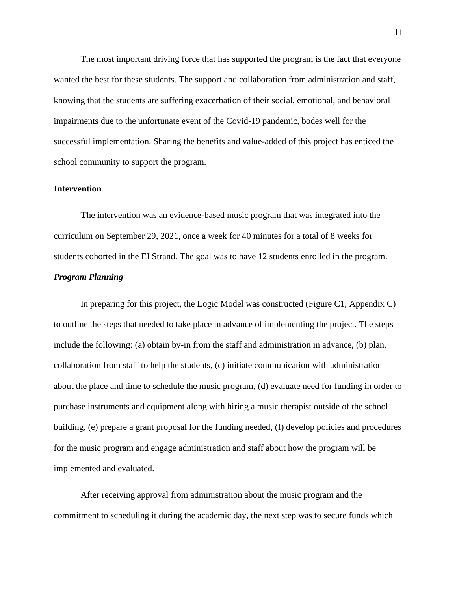The most important driving force that has supported the program is the fact that everyone wanted the best for these students. The support and collaboration from administration and staff, knowing that the students are suffering exacerbation of their social, emotional, and behavioral impairments due to the unfortunate event of the Covid-19 pandemic, bodes well for the successful implementation. Sharing the benefits and value-added of this project has enticed the school community to support the program.

#### **Intervention**

**T**he intervention was an evidence-based music program that was integrated into the curriculum on September 29, 2021, once a week for 40 minutes for a total of 8 weeks for students cohorted in the EI Strand. The goal was to have 12 students enrolled in the program. *Program Planning*

In preparing for this project, the Logic Model was constructed (Figure C1, Appendix C) to outline the steps that needed to take place in advance of implementing the project. The steps include the following: (a) obtain by-in from the staff and administration in advance, (b) plan, collaboration from staff to help the students, (c) initiate communication with administration about the place and time to schedule the music program, (d) evaluate need for funding in order to purchase instruments and equipment along with hiring a music therapist outside of the school building, (e) prepare a grant proposal for the funding needed, (f) develop policies and procedures for the music program and engage administration and staff about how the program will be implemented and evaluated.

After receiving approval from administration about the music program and the commitment to scheduling it during the academic day, the next step was to secure funds which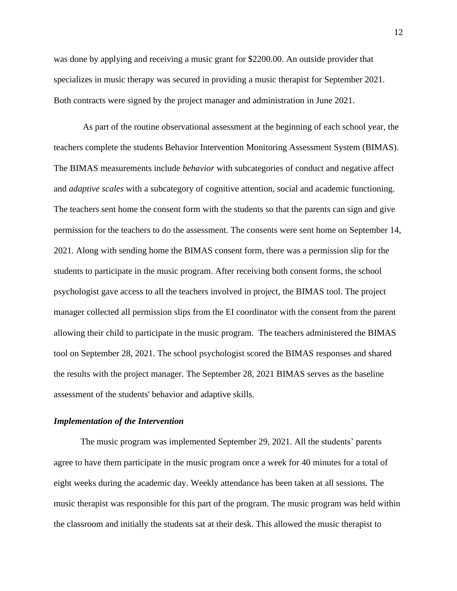was done by applying and receiving a music grant for \$2200.00. An outside provider that specializes in music therapy was secured in providing a music therapist for September 2021. Both contracts were signed by the project manager and administration in June 2021.

As part of the routine observational assessment at the beginning of each school year, the teachers complete the students Behavior Intervention Monitoring Assessment System (BIMAS). The BIMAS measurements include *behavior* with subcategories of conduct and negative affect and *adaptive scales* with a subcategory of cognitive attention, social and academic functioning. The teachers sent home the consent form with the students so that the parents can sign and give permission for the teachers to do the assessment. The consents were sent home on September 14, 2021. Along with sending home the BIMAS consent form, there was a permission slip for the students to participate in the music program. After receiving both consent forms, the school psychologist gave access to all the teachers involved in project, the BIMAS tool. The project manager collected all permission slips from the EI coordinator with the consent from the parent allowing their child to participate in the music program. The teachers administered the BIMAS tool on September 28, 2021. The school psychologist scored the BIMAS responses and shared the results with the project manager. The September 28, 2021 BIMAS serves as the baseline assessment of the students' behavior and adaptive skills.

#### *Implementation of the Intervention*

The music program was implemented September 29, 2021. All the students' parents agree to have them participate in the music program once a week for 40 minutes for a total of eight weeks during the academic day. Weekly attendance has been taken at all sessions. The music therapist was responsible for this part of the program. The music program was held within the classroom and initially the students sat at their desk. This allowed the music therapist to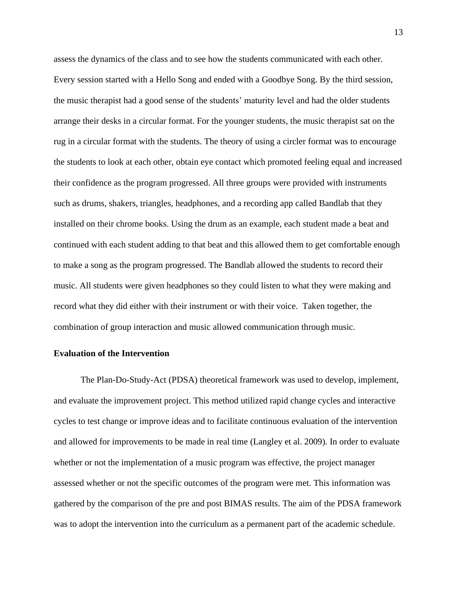assess the dynamics of the class and to see how the students communicated with each other. Every session started with a Hello Song and ended with a Goodbye Song. By the third session, the music therapist had a good sense of the students' maturity level and had the older students arrange their desks in a circular format. For the younger students, the music therapist sat on the rug in a circular format with the students. The theory of using a circler format was to encourage the students to look at each other, obtain eye contact which promoted feeling equal and increased their confidence as the program progressed. All three groups were provided with instruments such as drums, shakers, triangles, headphones, and a recording app called Bandlab that they installed on their chrome books. Using the drum as an example, each student made a beat and continued with each student adding to that beat and this allowed them to get comfortable enough to make a song as the program progressed. The Bandlab allowed the students to record their music. All students were given headphones so they could listen to what they were making and record what they did either with their instrument or with their voice. Taken together, the combination of group interaction and music allowed communication through music.

## **Evaluation of the Intervention**

The Plan-Do-Study-Act (PDSA) theoretical framework was used to develop, implement, and evaluate the improvement project. This method utilized rapid change cycles and interactive cycles to test change or improve ideas and to facilitate continuous evaluation of the intervention and allowed for improvements to be made in real time (Langley et al. 2009). In order to evaluate whether or not the implementation of a music program was effective, the project manager assessed whether or not the specific outcomes of the program were met. This information was gathered by the comparison of the pre and post BIMAS results. The aim of the PDSA framework was to adopt the intervention into the curriculum as a permanent part of the academic schedule.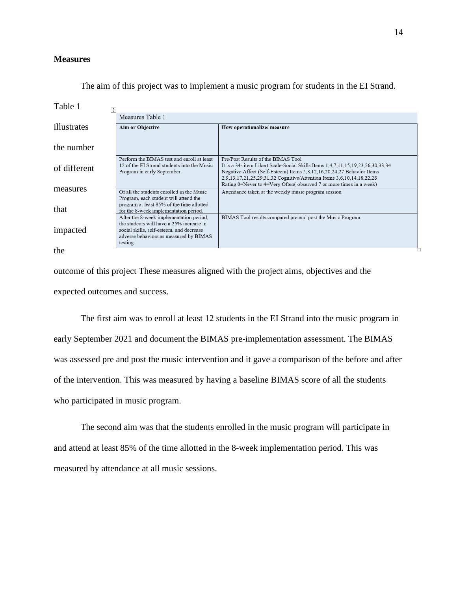## **Measures**

| Table 1<br>$+$ |                                                                                                                                                                        |                                                                                                                                                                                                                                                                         |  |  |  |
|----------------|------------------------------------------------------------------------------------------------------------------------------------------------------------------------|-------------------------------------------------------------------------------------------------------------------------------------------------------------------------------------------------------------------------------------------------------------------------|--|--|--|
|                | Measures Table 1                                                                                                                                                       |                                                                                                                                                                                                                                                                         |  |  |  |
| illustrates    | <b>Aim or Objective</b>                                                                                                                                                | How operationalize/measure                                                                                                                                                                                                                                              |  |  |  |
|                |                                                                                                                                                                        |                                                                                                                                                                                                                                                                         |  |  |  |
| the number     |                                                                                                                                                                        |                                                                                                                                                                                                                                                                         |  |  |  |
| of different   | Perform the BIMAS test and enroll at least<br>12 of the EI Strand students into the Music<br>Program in early September.                                               | Pre/Post Results of the BIMAS Tool<br>It is a 34- item Likert Scale-Social Skills Items 1,4,7,11,15,19,23,26,30,33,34<br>Negative Affect (Self-Esteem) Items 5,8,12,16,20,24,27 Behavior Items<br>2,9,13,17,21,25,29,31,32 Cognitive/Attention Items 3,6,10,14,18,22,28 |  |  |  |
| measures       | Of all the students enrolled in the Music                                                                                                                              | Rating 0=Never to 4=Very Often(observed 7 or more times in a week)<br>Attendance taken at the weekly music program session                                                                                                                                              |  |  |  |
| that           | Program, each student will attend the<br>program at least 85% of the time allotted<br>for the 8-week implementation period.<br>After the 8-week implementation period, | BIMAS Tool results compared pre and post the Music Program.                                                                                                                                                                                                             |  |  |  |
| impacted       | the students will have a 25% increase in<br>social skills, self-esteem, and decrease<br>adverse behaviors as measured by BIMAS<br>testing.                             |                                                                                                                                                                                                                                                                         |  |  |  |
| the            |                                                                                                                                                                        |                                                                                                                                                                                                                                                                         |  |  |  |

The aim of this project was to implement a music program for students in the EI Strand.

outcome of this project These measures aligned with the project aims, objectives and the expected outcomes and success.

 The first aim was to enroll at least 12 students in the EI Strand into the music program in early September 2021 and document the BIMAS pre-implementation assessment. The BIMAS was assessed pre and post the music intervention and it gave a comparison of the before and after of the intervention. This was measured by having a baseline BIMAS score of all the students who participated in music program.

The second aim was that the students enrolled in the music program will participate in and attend at least 85% of the time allotted in the 8-week implementation period. This was measured by attendance at all music sessions.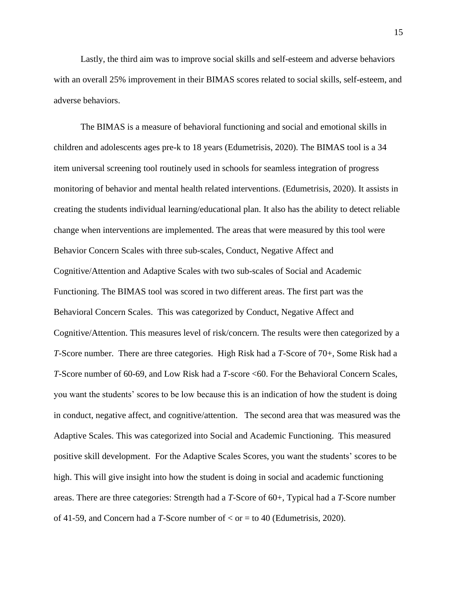Lastly, the third aim was to improve social skills and self-esteem and adverse behaviors with an overall 25% improvement in their BIMAS scores related to social skills, self-esteem, and adverse behaviors.

The BIMAS is a measure of behavioral functioning and social and emotional skills in children and adolescents ages pre-k to 18 years (Edumetrisis, 2020). The BIMAS tool is a 34 item universal screening tool routinely used in schools for seamless integration of progress monitoring of behavior and mental health related interventions. (Edumetrisis, 2020). It assists in creating the students individual learning/educational plan. It also has the ability to detect reliable change when interventions are implemented. The areas that were measured by this tool were Behavior Concern Scales with three sub-scales, Conduct, Negative Affect and Cognitive/Attention and Adaptive Scales with two sub-scales of Social and Academic Functioning. The BIMAS tool was scored in two different areas. The first part was the Behavioral Concern Scales. This was categorized by Conduct, Negative Affect and Cognitive/Attention. This measures level of risk/concern. The results were then categorized by a *T*-Score number. There are three categories. High Risk had a *T*-Score of 70+, Some Risk had a *T*-Score number of 60-69, and Low Risk had a *T*-score <60. For the Behavioral Concern Scales, you want the students' scores to be low because this is an indication of how the student is doing in conduct, negative affect, and cognitive/attention. The second area that was measured was the Adaptive Scales. This was categorized into Social and Academic Functioning. This measured positive skill development. For the Adaptive Scales Scores, you want the students' scores to be high. This will give insight into how the student is doing in social and academic functioning areas. There are three categories: Strength had a *T*-Score of 60+, Typical had a *T*-Score number of 41-59, and Concern had a *T*-Score number of < or = to 40 (Edumetrisis, 2020).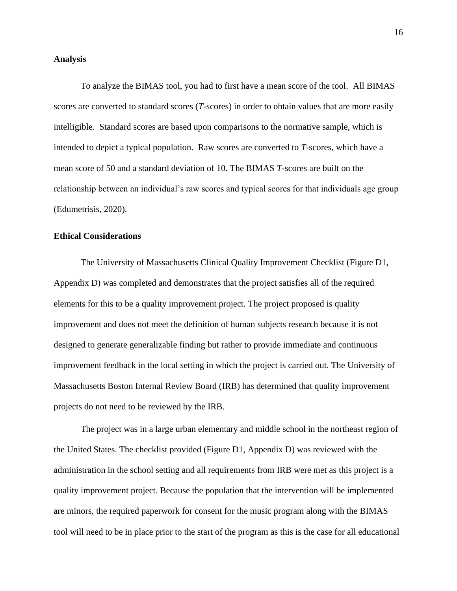#### **Analysis**

To analyze the BIMAS tool, you had to first have a mean score of the tool. All BIMAS scores are converted to standard scores (*T*-scores) in order to obtain values that are more easily intelligible. Standard scores are based upon comparisons to the normative sample, which is intended to depict a typical population. Raw scores are converted to *T*-scores, which have a mean score of 50 and a standard deviation of 10. The BIMAS *T*-scores are built on the relationship between an individual's raw scores and typical scores for that individuals age group (Edumetrisis, 2020).

## **Ethical Considerations**

The University of Massachusetts Clinical Quality Improvement Checklist (Figure D1, Appendix D) was completed and demonstrates that the project satisfies all of the required elements for this to be a quality improvement project. The project proposed is quality improvement and does not meet the definition of human subjects research because it is not designed to generate generalizable finding but rather to provide immediate and continuous improvement feedback in the local setting in which the project is carried out. The University of Massachusetts Boston Internal Review Board (IRB) has determined that quality improvement projects do not need to be reviewed by the IRB.

The project was in a large urban elementary and middle school in the northeast region of the United States. The checklist provided (Figure D1, Appendix D) was reviewed with the administration in the school setting and all requirements from IRB were met as this project is a quality improvement project. Because the population that the intervention will be implemented are minors, the required paperwork for consent for the music program along with the BIMAS tool will need to be in place prior to the start of the program as this is the case for all educational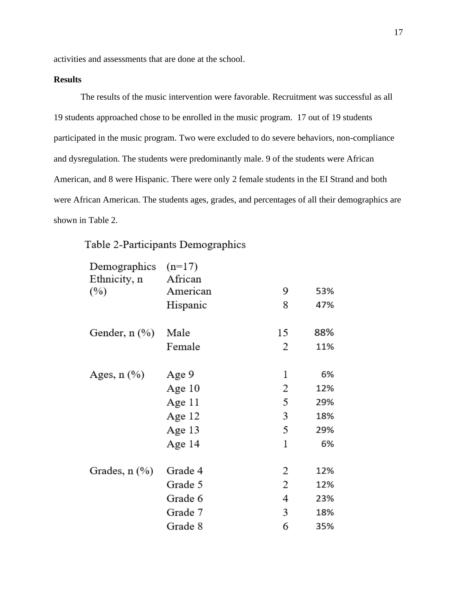activities and assessments that are done at the school.

## **Results**

The results of the music intervention were favorable. Recruitment was successful as all 19 students approached chose to be enrolled in the music program. 17 out of 19 students participated in the music program. Two were excluded to do severe behaviors, non-compliance and dysregulation. The students were predominantly male. 9 of the students were African American, and 8 were Hispanic. There were only 2 female students in the EI Strand and both were African American. The students ages, grades, and percentages of all their demographics are shown in Table 2.

## Table 2-Participants Demographics

| Demographics       | $(n=17)$ |    |     |
|--------------------|----------|----|-----|
| Ethnicity, n       | African  |    |     |
| $(\%)$             | American | 9  | 53% |
|                    | Hispanic | 8  | 47% |
| Gender, n (%)      | Male     | 15 | 88% |
|                    | Female   | 2  | 11% |
| Ages, $n$ $(\%)$   | Age 9    | 1  | 6%  |
|                    | Age 10   | 2  | 12% |
|                    | Age 11   | 5  | 29% |
|                    | Age 12   | 3  | 18% |
|                    | Age 13   | 5  | 29% |
|                    | Age 14   | 1  | 6%  |
| Grades, $n$ $(\%)$ | Grade 4  | 2  | 12% |
|                    | Grade 5  | 2  | 12% |
|                    | Grade 6  | 4  | 23% |
|                    | Grade 7  | 3  | 18% |
|                    | Grade 8  | 6  | 35% |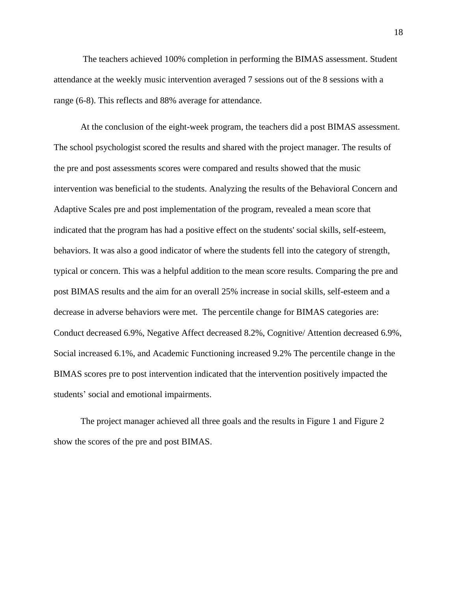The teachers achieved 100% completion in performing the BIMAS assessment. Student attendance at the weekly music intervention averaged 7 sessions out of the 8 sessions with a range (6-8). This reflects and 88% average for attendance.

At the conclusion of the eight-week program, the teachers did a post BIMAS assessment. The school psychologist scored the results and shared with the project manager. The results of the pre and post assessments scores were compared and results showed that the music intervention was beneficial to the students. Analyzing the results of the Behavioral Concern and Adaptive Scales pre and post implementation of the program, revealed a mean score that indicated that the program has had a positive effect on the students' social skills, self-esteem, behaviors. It was also a good indicator of where the students fell into the category of strength, typical or concern. This was a helpful addition to the mean score results. Comparing the pre and post BIMAS results and the aim for an overall 25% increase in social skills, self-esteem and a decrease in adverse behaviors were met. The percentile change for BIMAS categories are: Conduct decreased 6.9%, Negative Affect decreased 8.2%, Cognitive/ Attention decreased 6.9%, Social increased 6.1%, and Academic Functioning increased 9.2% The percentile change in the BIMAS scores pre to post intervention indicated that the intervention positively impacted the students' social and emotional impairments.

The project manager achieved all three goals and the results in Figure 1 and Figure 2 show the scores of the pre and post BIMAS.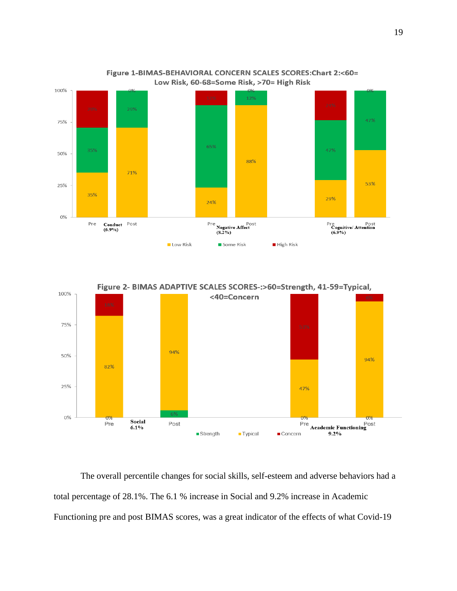

Figure 1-BIMAS-BEHAVIORAL CONCERN SCALES SCORES: Chart 2:<60= Low Risk, 60-68=Some Risk, >70= High Risk



The overall percentile changes for social skills, self-esteem and adverse behaviors had a total percentage of 28.1%. The 6.1 % increase in Social and 9.2% increase in Academic Functioning pre and post BIMAS scores, was a great indicator of the effects of what Covid-19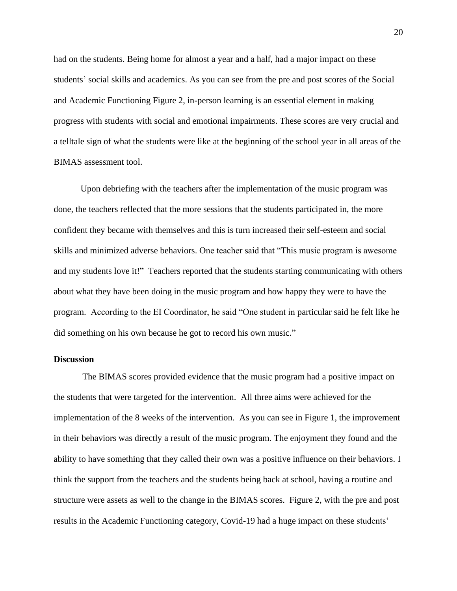had on the students. Being home for almost a year and a half, had a major impact on these students' social skills and academics. As you can see from the pre and post scores of the Social and Academic Functioning Figure 2, in-person learning is an essential element in making progress with students with social and emotional impairments. These scores are very crucial and a telltale sign of what the students were like at the beginning of the school year in all areas of the BIMAS assessment tool.

Upon debriefing with the teachers after the implementation of the music program was done, the teachers reflected that the more sessions that the students participated in, the more confident they became with themselves and this is turn increased their self-esteem and social skills and minimized adverse behaviors. One teacher said that "This music program is awesome and my students love it!" Teachers reported that the students starting communicating with others about what they have been doing in the music program and how happy they were to have the program. According to the EI Coordinator, he said "One student in particular said he felt like he did something on his own because he got to record his own music."

### **Discussion**

The BIMAS scores provided evidence that the music program had a positive impact on the students that were targeted for the intervention. All three aims were achieved for the implementation of the 8 weeks of the intervention. As you can see in Figure 1, the improvement in their behaviors was directly a result of the music program. The enjoyment they found and the ability to have something that they called their own was a positive influence on their behaviors. I think the support from the teachers and the students being back at school, having a routine and structure were assets as well to the change in the BIMAS scores. Figure 2, with the pre and post results in the Academic Functioning category, Covid-19 had a huge impact on these students'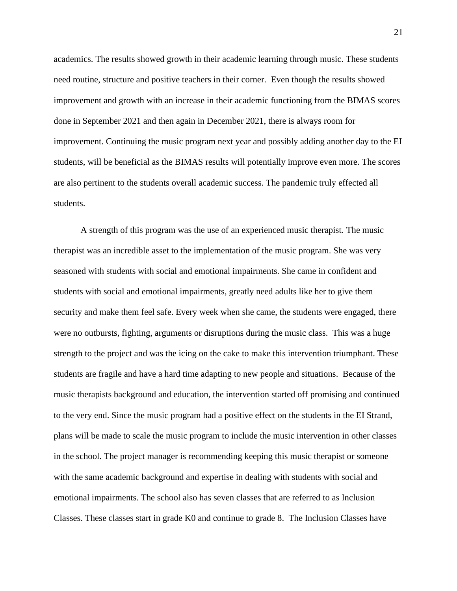academics. The results showed growth in their academic learning through music. These students need routine, structure and positive teachers in their corner. Even though the results showed improvement and growth with an increase in their academic functioning from the BIMAS scores done in September 2021 and then again in December 2021, there is always room for improvement. Continuing the music program next year and possibly adding another day to the EI students, will be beneficial as the BIMAS results will potentially improve even more. The scores are also pertinent to the students overall academic success. The pandemic truly effected all students.

A strength of this program was the use of an experienced music therapist. The music therapist was an incredible asset to the implementation of the music program. She was very seasoned with students with social and emotional impairments. She came in confident and students with social and emotional impairments, greatly need adults like her to give them security and make them feel safe. Every week when she came, the students were engaged, there were no outbursts, fighting, arguments or disruptions during the music class. This was a huge strength to the project and was the icing on the cake to make this intervention triumphant. These students are fragile and have a hard time adapting to new people and situations. Because of the music therapists background and education, the intervention started off promising and continued to the very end. Since the music program had a positive effect on the students in the EI Strand, plans will be made to scale the music program to include the music intervention in other classes in the school. The project manager is recommending keeping this music therapist or someone with the same academic background and expertise in dealing with students with social and emotional impairments. The school also has seven classes that are referred to as Inclusion Classes. These classes start in grade K0 and continue to grade 8. The Inclusion Classes have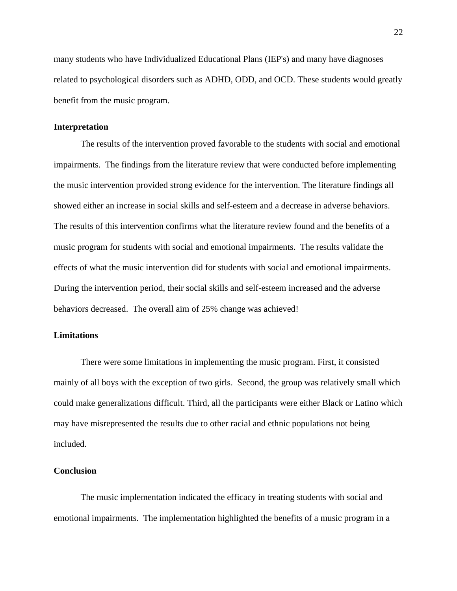many students who have Individualized Educational Plans (IEP's) and many have diagnoses related to psychological disorders such as ADHD, ODD, and OCD. These students would greatly benefit from the music program.

#### **Interpretation**

The results of the intervention proved favorable to the students with social and emotional impairments. The findings from the literature review that were conducted before implementing the music intervention provided strong evidence for the intervention. The literature findings all showed either an increase in social skills and self-esteem and a decrease in adverse behaviors. The results of this intervention confirms what the literature review found and the benefits of a music program for students with social and emotional impairments. The results validate the effects of what the music intervention did for students with social and emotional impairments. During the intervention period, their social skills and self-esteem increased and the adverse behaviors decreased. The overall aim of 25% change was achieved!

## **Limitations**

There were some limitations in implementing the music program. First, it consisted mainly of all boys with the exception of two girls. Second, the group was relatively small which could make generalizations difficult. Third, all the participants were either Black or Latino which may have misrepresented the results due to other racial and ethnic populations not being included.

#### **Conclusion**

The music implementation indicated the efficacy in treating students with social and emotional impairments. The implementation highlighted the benefits of a music program in a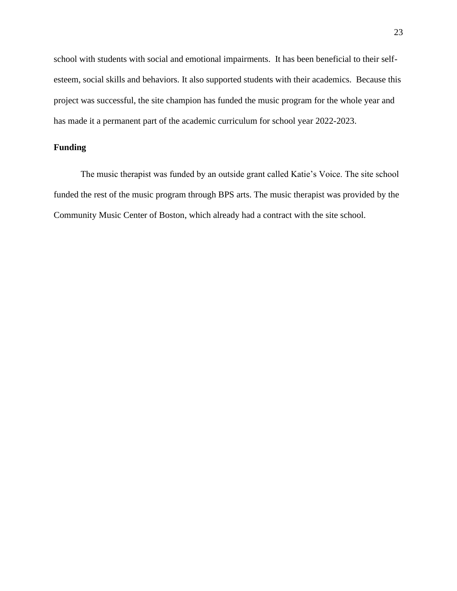school with students with social and emotional impairments. It has been beneficial to their selfesteem, social skills and behaviors. It also supported students with their academics. Because this project was successful, the site champion has funded the music program for the whole year and has made it a permanent part of the academic curriculum for school year 2022-2023.

## **Funding**

The music therapist was funded by an outside grant called Katie's Voice. The site school funded the rest of the music program through BPS arts. The music therapist was provided by the Community Music Center of Boston, which already had a contract with the site school.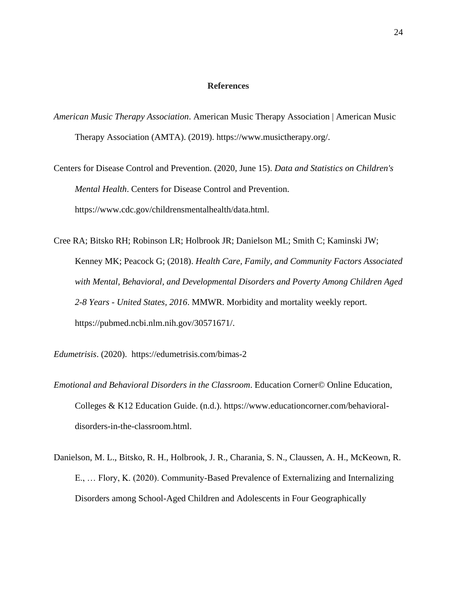#### **References**

- *American Music Therapy Association*. American Music Therapy Association | American Music Therapy Association (AMTA). (2019). https://www.musictherapy.org/.
- Centers for Disease Control and Prevention. (2020, June 15). *Data and Statistics on Children's Mental Health*. Centers for Disease Control and Prevention. https://www.cdc.gov/childrensmentalhealth/data.html.
- Cree RA; Bitsko RH; Robinson LR; Holbrook JR; Danielson ML; Smith C; Kaminski JW; Kenney MK; Peacock G; (2018). *Health Care, Family, and Community Factors Associated with Mental, Behavioral, and Developmental Disorders and Poverty Among Children Aged 2-8 Years - United States, 2016*. MMWR. Morbidity and mortality weekly report. https://pubmed.ncbi.nlm.nih.gov/30571671/.
- *Edumetrisis*. (2020). https://edumetrisis.com/bimas-2
- *Emotional and Behavioral Disorders in the Classroom*. Education Corner© Online Education, Colleges & K12 Education Guide. (n.d.). https://www.educationcorner.com/behavioraldisorders-in-the-classroom.html.
- Danielson, M. L., Bitsko, R. H., Holbrook, J. R., Charania, S. N., Claussen, A. H., McKeown, R. E., … Flory, K. (2020). Community-Based Prevalence of Externalizing and Internalizing Disorders among School-Aged Children and Adolescents in Four Geographically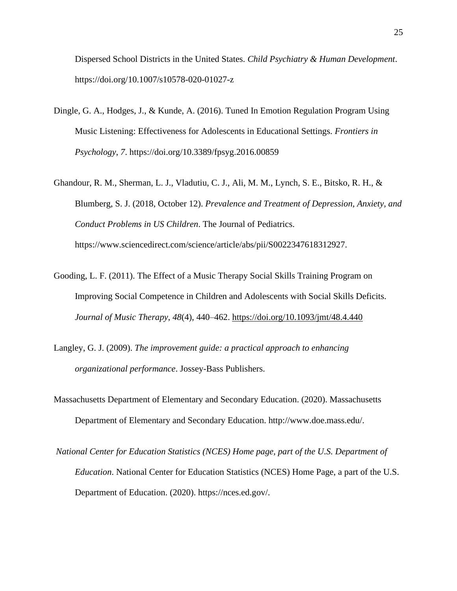Dispersed School Districts in the United States. *Child Psychiatry & Human Development*. https://doi.org/10.1007/s10578-020-01027-z

- Dingle, G. A., Hodges, J., & Kunde, A. (2016). Tuned In Emotion Regulation Program Using Music Listening: Effectiveness for Adolescents in Educational Settings. *Frontiers in Psychology*, *7*. https://doi.org/10.3389/fpsyg.2016.00859
- Ghandour, R. M., Sherman, L. J., Vladutiu, C. J., Ali, M. M., Lynch, S. E., Bitsko, R. H., & Blumberg, S. J. (2018, October 12). *Prevalence and Treatment of Depression, Anxiety, and Conduct Problems in US Children*. The Journal of Pediatrics. https://www.sciencedirect.com/science/article/abs/pii/S0022347618312927.
- Gooding, L. F. (2011). The Effect of a Music Therapy Social Skills Training Program on Improving Social Competence in Children and Adolescents with Social Skills Deficits. *Journal of Music Therapy*, *48*(4), 440–462.<https://doi.org/10.1093/jmt/48.4.440>
- Langley, G. J. (2009). *The improvement guide: a practical approach to enhancing organizational performance*. Jossey-Bass Publishers.
- Massachusetts Department of Elementary and Secondary Education. (2020). Massachusetts Department of Elementary and Secondary Education. http://www.doe.mass.edu/.
- *National Center for Education Statistics (NCES) Home page, part of the U.S. Department of Education*. National Center for Education Statistics (NCES) Home Page, a part of the U.S. Department of Education. (2020). https://nces.ed.gov/.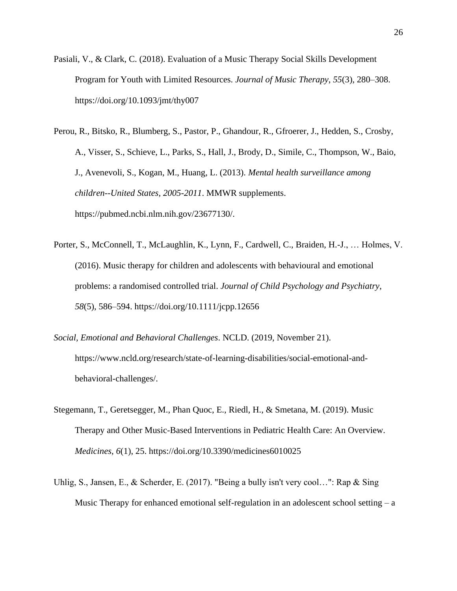- Pasiali, V., & Clark, C. (2018). Evaluation of a Music Therapy Social Skills Development Program for Youth with Limited Resources. *Journal of Music Therapy*, *55*(3), 280–308. https://doi.org/10.1093/jmt/thy007
- Perou, R., Bitsko, R., Blumberg, S., Pastor, P., Ghandour, R., Gfroerer, J., Hedden, S., Crosby, A., Visser, S., Schieve, L., Parks, S., Hall, J., Brody, D., Simile, C., Thompson, W., Baio, J., Avenevoli, S., Kogan, M., Huang, L. (2013). *Mental health surveillance among children--United States, 2005-2011*. MMWR supplements. https://pubmed.ncbi.nlm.nih.gov/23677130/.
- Porter, S., McConnell, T., McLaughlin, K., Lynn, F., Cardwell, C., Braiden, H.-J., … Holmes, V. (2016). Music therapy for children and adolescents with behavioural and emotional problems: a randomised controlled trial. *Journal of Child Psychology and Psychiatry*, *58*(5), 586–594. https://doi.org/10.1111/jcpp.12656
- *Social, Emotional and Behavioral Challenges*. NCLD. (2019, November 21). https://www.ncld.org/research/state-of-learning-disabilities/social-emotional-andbehavioral-challenges/.
- Stegemann, T., Geretsegger, M., Phan Quoc, E., Riedl, H., & Smetana, M. (2019). Music Therapy and Other Music-Based Interventions in Pediatric Health Care: An Overview. *Medicines*, *6*(1), 25. https://doi.org/10.3390/medicines6010025
- Uhlig, S., Jansen, E., & Scherder, E. (2017). "Being a bully isn't very cool...": Rap & Sing Music Therapy for enhanced emotional self-regulation in an adolescent school setting  $- a$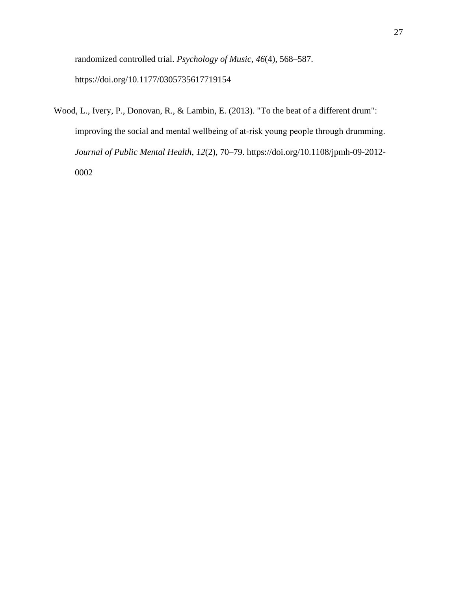randomized controlled trial. *Psychology of Music*, *46*(4), 568–587. https://doi.org/10.1177/0305735617719154

Wood, L., Ivery, P., Donovan, R., & Lambin, E. (2013). "To the beat of a different drum": improving the social and mental wellbeing of at-risk young people through drumming. *Journal of Public Mental Health*, *12*(2), 70–79. https://doi.org/10.1108/jpmh-09-2012- 0002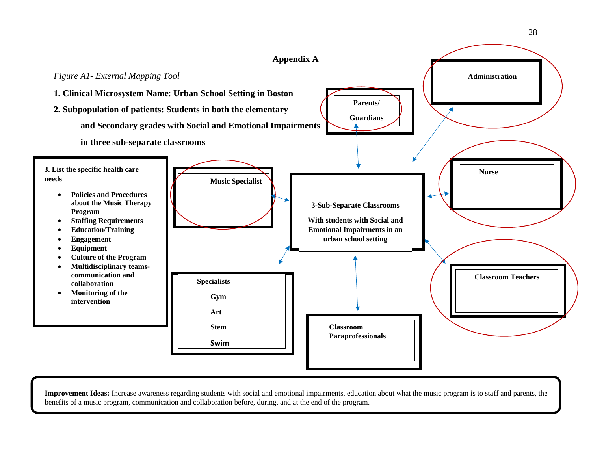

**Improvement Ideas:** Increase awareness regarding students with social and emotional impairments, education about what the music program is to staff and parents, the benefits of a music program, communication and collaboration before, during, and at the end of the program.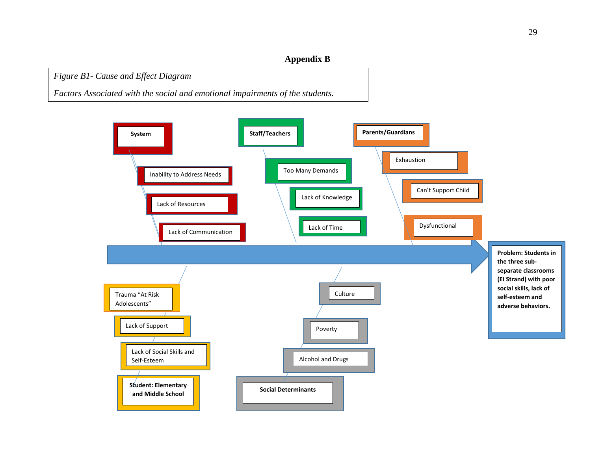## **Appendix B**

*Figure B1- Cause and Effect Diagram*

*Factors Associated with the social and emotional impairments of the students.*

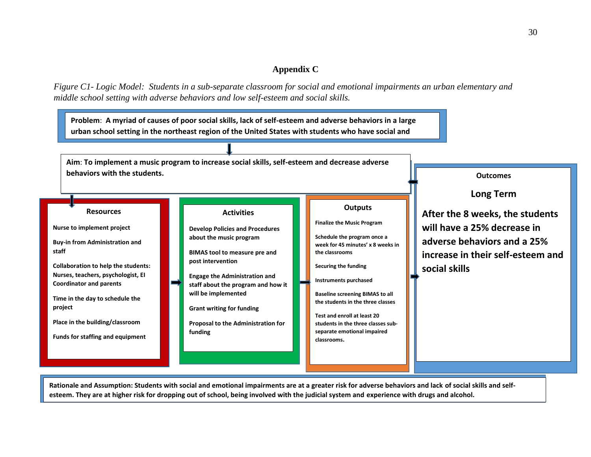## **Appendix C**

*Figure C1- Logic Model: Students in a sub-separate classroom for social and emotional impairments an urban elementary and middle school setting with adverse behaviors and low self-esteem and social skills.*



**esteem. They are at higher risk for dropping out of school, being involved with the judicial system and experience with drugs and alcohol.**